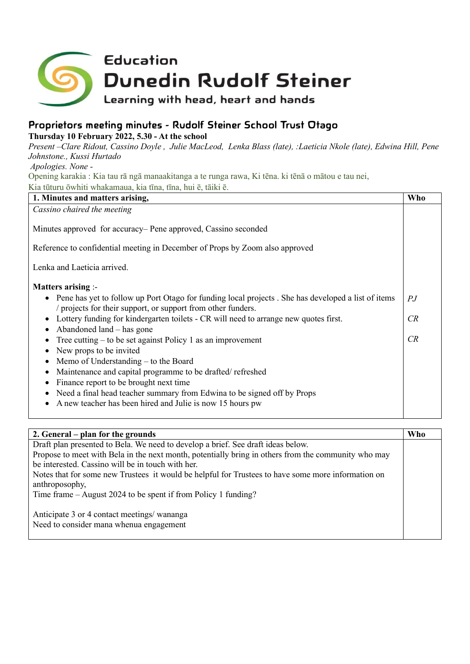

## **Proprietors meeting minutes - Rudolf Steiner School Trust Otago**

**Thursday 10 February 2022, 5.30 - At the school**

*Present –Clare Ridout, Cassino Doyle , Julie MacLeod, Lenka Blass (late), :Laeticia Nkole (late), Edwina Hill, Pene Johnstone., Kussi Hurtado*

*Apologies. None -*

Opening karakia : Kia tau rā ngā manaakitanga a te runga rawa, Ki tēna. ki tēnā o mātou e tau nei, Kia tūturu ōwhiti whakamaua, kia tīna, tīna, hui ē, tāiki ē.

| 1. Minutes and matters arising,                                                                                                                                                                                                                                                                                                                                                                                                                                                                                                                                                                                                                                                                                           | Who                                 |
|---------------------------------------------------------------------------------------------------------------------------------------------------------------------------------------------------------------------------------------------------------------------------------------------------------------------------------------------------------------------------------------------------------------------------------------------------------------------------------------------------------------------------------------------------------------------------------------------------------------------------------------------------------------------------------------------------------------------------|-------------------------------------|
| Cassino chaired the meeting                                                                                                                                                                                                                                                                                                                                                                                                                                                                                                                                                                                                                                                                                               |                                     |
| Minutes approved for accuracy– Pene approved, Cassino seconded<br>Reference to confidential meeting in December of Props by Zoom also approved                                                                                                                                                                                                                                                                                                                                                                                                                                                                                                                                                                            |                                     |
| Lenka and Laeticia arrived.                                                                                                                                                                                                                                                                                                                                                                                                                                                                                                                                                                                                                                                                                               |                                     |
| <b>Matters arising :-</b><br>• Pene has yet to follow up Port Otago for funding local projects . She has developed a list of items<br>/ projects for their support, or support from other funders.<br>Lottery funding for kindergarten toilets - CR will need to arrange new quotes first.<br>Abandoned land $-$ has gone<br>Tree cutting $-$ to be set against Policy 1 as an improvement<br>New props to be invited<br>Memo of Understanding - to the Board<br>$\bullet$<br>Maintenance and capital programme to be drafted/refreshed<br>Finance report to be brought next time<br>Need a final head teacher summary from Edwina to be signed off by Props<br>A new teacher has been hired and Julie is now 15 hours pw | $\mathbb{P} \mathbb{J}$<br>CR<br>CR |

| 2. General – plan for the grounds                                                                                    | <b>Who</b> |
|----------------------------------------------------------------------------------------------------------------------|------------|
| Draft plan presented to Bela. We need to develop a brief. See draft ideas below.                                     |            |
| Propose to meet with Bela in the next month, potentially bring in others from the community who may                  |            |
| be interested. Cassino will be in touch with her.                                                                    |            |
| Notes that for some new Trustees it would be helpful for Trustees to have some more information on<br>anthroposophy, |            |
| Time frame $-$ August 2024 to be spent if from Policy 1 funding?                                                     |            |
| Anticipate 3 or 4 contact meetings/ wananga<br>Need to consider mana whenua engagement                               |            |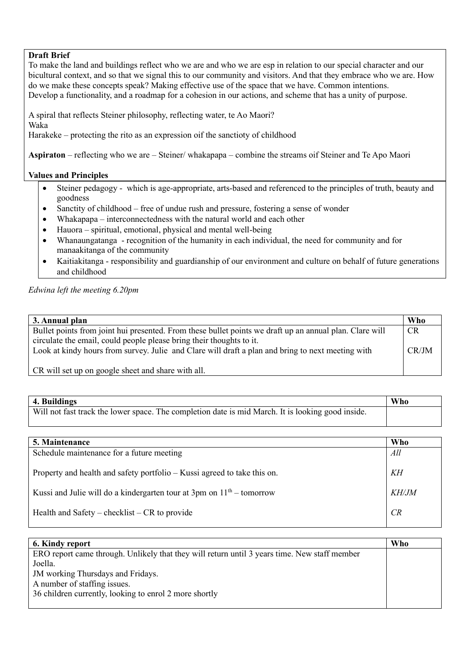## **Draft Brief**

To make the land and buildings reflect who we are and who we are esp in relation to our special character and our bicultural context, and so that we signal this to our community and visitors. And that they embrace who we are. How do we make these concepts speak? Making effective use of the space that we have. Common intentions. Develop a functionality, and a roadmap for a cohesion in our actions, and scheme that has a unity of purpose.

A spiral that reflects Steiner philosophy, reflecting water, te Ao Maori? Waka

Harakeke – protecting the rito as an expression oif the sanctioty of childhood

**Aspiraton** – reflecting who we are – Steiner/ whakapapa – combine the streams oif Steiner and Te Apo Maori

## **Values and Principles**

- Steiner pedagogy which is age-appropriate, arts-based and referenced to the principles of truth, beauty and goodness
- Sanctity of childhood free of undue rush and pressure, fostering a sense of wonder
- Whakapapa interconnectedness with the natural world and each other
- Hauora spiritual, emotional, physical and mental well-being
- Whanaungatanga recognition of the humanity in each individual, the need for community and for manaakitanga of the community
- Kaitiakitanga responsibility and guardianship of our environment and culture on behalf of future generations and childhood

*Edwina left the meeting 6.20pm*

| 3. Annual plan                                                                                          | Who       |
|---------------------------------------------------------------------------------------------------------|-----------|
| Bullet points from joint hui presented. From these bullet points we draft up an annual plan. Clare will | <b>CR</b> |
| circulate the email, could people please bring their thoughts to it.                                    |           |
| Look at kindy hours from survey. Julie and Clare will draft a plan and bring to next meeting with       | CR/JM     |
|                                                                                                         |           |
| CR will set up on google sheet and share with all.                                                      |           |

| 4. Buildings                                                                                      | Who |
|---------------------------------------------------------------------------------------------------|-----|
| Will not fast track the lower space. The completion date is mid March. It is looking good inside. |     |

| 5. Maintenance                                                           | Who          |
|--------------------------------------------------------------------------|--------------|
| Schedule maintenance for a future meeting                                | All          |
| Property and health and safety portfolio – Kussi agreed to take this on. | KH           |
| Kussi and Julie will do a kindergarten tour at 3pm on $11th$ – tomorrow  | <b>KH/JM</b> |
| Health and Safety – checklist – $CR$ to provide                          | CR           |

| 6. Kindy report                                                                              | Who |
|----------------------------------------------------------------------------------------------|-----|
|                                                                                              |     |
| ERO report came through. Unlikely that they will return until 3 years time. New staff member |     |
| Joella.                                                                                      |     |
| JM working Thursdays and Fridays.                                                            |     |
| A number of staffing issues.                                                                 |     |
| 36 children currently, looking to enrol 2 more shortly                                       |     |
|                                                                                              |     |